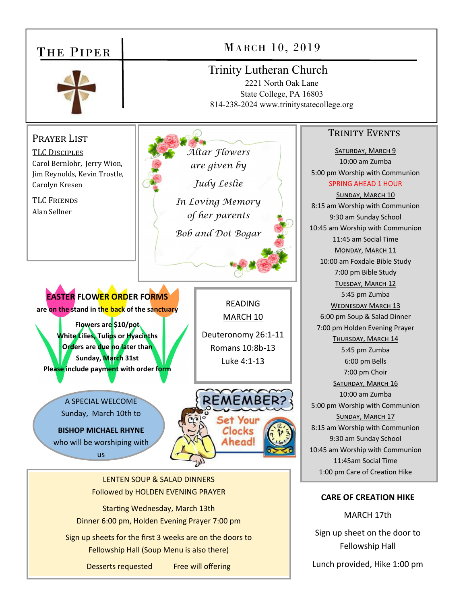#### MARCH 10, 2019 THE PIPER Trinity Lutheran Church 2221 North Oak Lane State College, PA 16803 814-238-2024 www.trinitystatecollege.org TRINITY EVENTS PRAYER LIST *Altar Flowers*  SATURDAY, MARCH 9 TLC DISCIPLES 10:00 am Zumba Carol Bernlohr, Jerry Wion, *are given by*  5:00 pm Worship with Communion Jim Reynolds, Kevin Trostle, *Judy Leslie*  SPRING AHEAD 1 HOUR Carolyn Kresen SUNDAY, MARCH 10 TLC FRIENDS *In Loving Memory*  8:15 am Worship with Communion Alan Sellner *of her parents*  9:30 am Sunday School 10:45 am Worship with Communion *Bob and Dot Bogar*  11:45 am Social Time MONDAY, MARCH 11 10:00 am Foxdale Bible Study 7:00 pm Bible Study TUESDAY, MARCH 12 **EASTER FLOWER ORDER FORMS** 5:45 pm Zumba READING WEDNESDAY MARCH 13 **are on the stand in the back of the sanctuary**  MARCH 10 6:00 pm Soup & Salad Dinner **Flowers are \$10/pot**  7:00 pm Holden Evening Prayer **White Lilies, Tulips or Hyacinths**  Deuteronomy 26:1‐11 THURSDAY, MARCH 14 **Orders are due no later than**  Romans 10:8b‐13 5:45 pm Zumba **Sunday, March 31st**  Luke 4:1‐13 6:00 pm Bells **Please include payment with order form**  7:00 pm Choir SATURDAY, MARCH 16 10:00 am Zumba A SPECIAL WELCOME 5:00 pm Worship with Communion Sunday, March 10th to SUNDAY, MARCH 17 8:15 am Worship with Communion **BISHOP MICHAEL RHYNE**  Clocks 9:30 am Sunday School who will be worshiping with **\head** 10:45 am Worship with Communion us 11:45am Social Time 1:00 pm Care of Creation Hike LENTEN SOUP & SALAD DINNERS Followed by HOLDEN EVENING PRAYER **CARE OF CREATION HIKE**  Starting Wednesday, March 13th MARCH 17th Dinner 6:00 pm, Holden Evening Prayer 7:00 pm Sign up sheet on the door to

Sign up sheets for the first 3 weeks are on the doors to Fellowship Hall (Soup Menu is also there)

Desserts requested Free will offering

Lunch provided, Hike 1:00 pm

Fellowship Hall